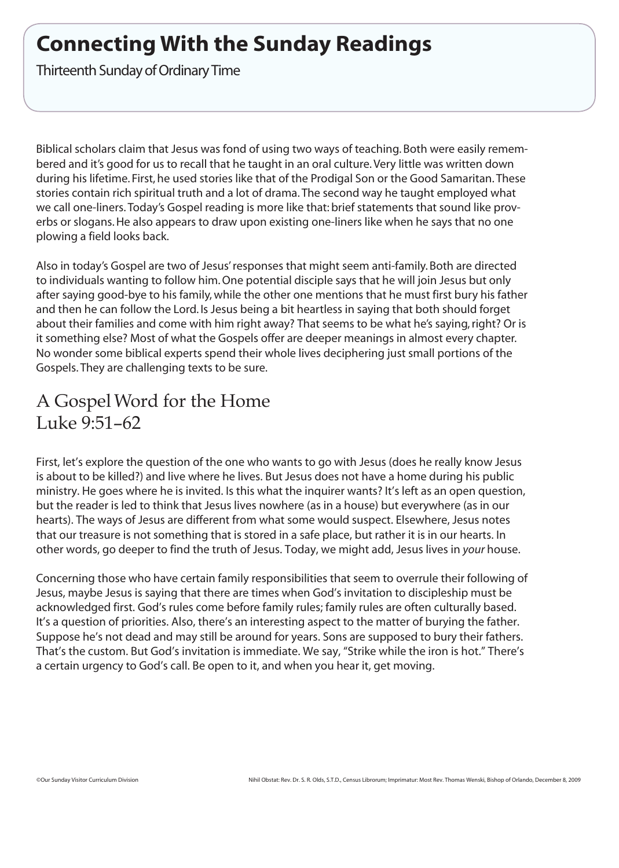# **Connecting With the Sunday Readings**

Thirteenth Sunday of Ordinary Time

Biblical scholars claim that Jesus was fond of using two ways of teaching. Both were easily remembered and it's good for us to recall that he taught in an oral culture.Very little was written down during his lifetime. First, he used stories like that of the Prodigal Son or the Good Samaritan. These stories contain rich spiritual truth and a lot of drama. The second way he taught employed what we call one-liners. Today's Gospel reading is more like that: brief statements that sound like proverbs or slogans.He also appears to draw upon existing one-liners like when he says that no one plowing a field looks back.

Also in today's Gospel are two of Jesus'responses that might seem anti-family. Both are directed to individuals wanting to follow him. One potential disciple says that he will join Jesus but only after saying good-bye to his family, while the other one mentions that he must first bury his father and then he can follow the Lord. Is Jesus being a bit heartless in saying that both should forget about their families and come with him right away? That seems to be what he's saying, right? Or is it something else? Most of what the Gospels offer are deeper meanings in almost every chapter. No wonder some biblical experts spend their whole lives deciphering just small portions of the Gospels. They are challenging texts to be sure.

## A GospelWord for the Home Luke 9:51–62

First, let's explore the question of the one who wants to go with Jesus (does he really know Jesus is about to be killed?) and live where he lives. But Jesus does not have a home during his public ministry. He goes where he is invited. Is this what the inquirer wants? It's left as an open question, but the reader is led to think that Jesus lives nowhere (as in a house) but everywhere (as in our hearts). The ways of Jesus are different from what some would suspect. Elsewhere, Jesus notes that our treasure is not something that is stored in a safe place, but rather it is in our hearts. In other words, go deeper to find the truth of Jesus. Today, we might add, Jesus lives in *your* house.

Concerning those who have certain family responsibilities that seem to overrule their following of Jesus, maybe Jesus is saying that there are times when God's invitation to discipleship must be acknowledged first. God's rules come before family rules; family rules are often culturally based. It's a question of priorities. Also, there's an interesting aspect to the matter of burying the father. Suppose he's not dead and may still be around for years. Sons are supposed to bury their fathers. That's the custom. But God's invitation is immediate. We say, "Strike while the iron is hot." There's a certain urgency to God's call. Be open to it, and when you hear it, get moving.